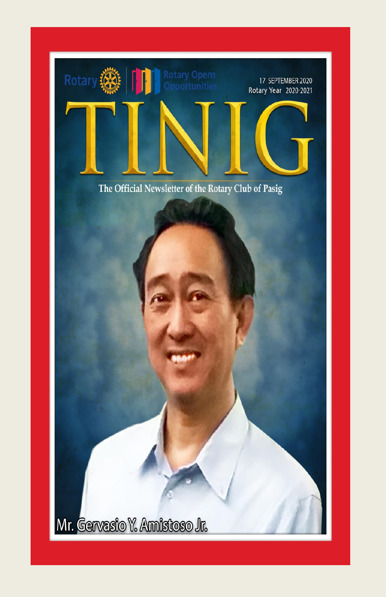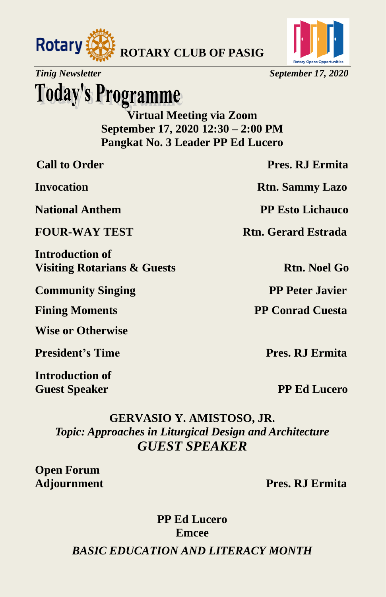



*Tinig Newsletter September 17, 2020*

## **Today's Programme**

**Virtual Meeting via Zoom September 17, 2020 12:30 – 2:00 PM Pangkat No. 3 Leader PP Ed Lucero**

**Introduction of Visiting Rotarians & Guests** Rtn. Noel Go

**Community Singing PP Peter Javier** 

**Wise or Otherwise** 

**President's Time Pres. RJ Ermita** 

**Introduction of Guest Speaker PP Ed Lucero** *PP Ed Lucero* 

**Call to Order Pres. RJ Ermita** 

**Invocation Rtn. Sammy Lazo** 

**National Anthem PP Esto Lichauco**

**FOUR-WAY TEST Rtn. Gerard Estrada** 

**Fining Moments** PP Conrad Cuesta

### **GERVASIO Y. AMISTOSO, JR.** *Topic: Approaches in Liturgical Design and Architecture GUEST SPEAKER*

**Open Forum**

**Adjournment Pres. RJ Ermita**

**PP Ed Lucero Emcee**

*BASIC EDUCATION AND LITERACY MONTH*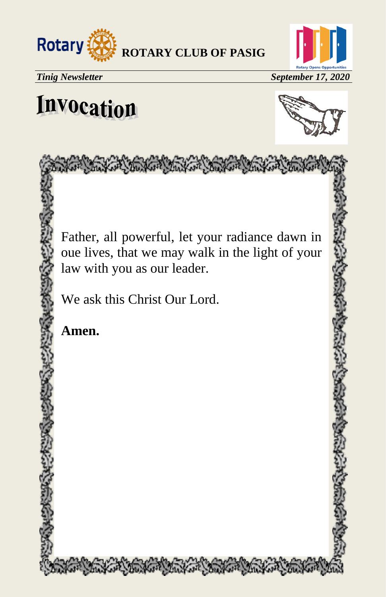



# **Invocation**



Father, all powerful, let your radiance dawn in oue lives, that we may walk in the light of your law with you as our leader.

We ask this Christ Our Lord.

Control Monte Control Control

**Amen.**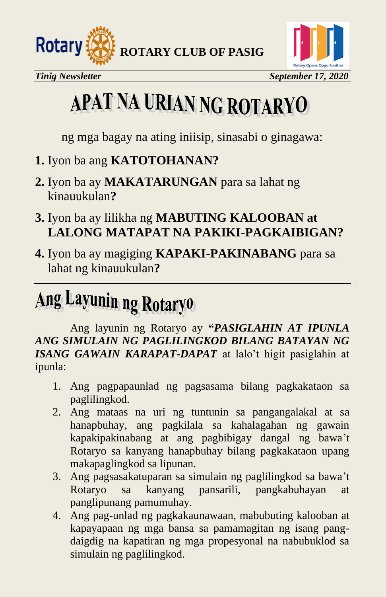



# APAT NA URIAN NG ROTARYO

ng mga bagay na ating iniisip, sinasabi o ginagawa:

- **1.** Iyon ba ang **KATOTOHANAN?**
- **2.** Iyon ba ay **MAKATARUNGAN** para sa lahat ng kinauukulan**?**
- **3.** Iyon ba ay lilikha ng **MABUTING KALOOBAN at LALONG MATAPAT NA PAKIKI-PAGKAIBIGAN?**
- **4.** Iyon ba ay magiging **KAPAKI-PAKINABANG** para sa lahat ng kinauukulan**?**

# Ang Layunin ng Rotaryo

Ang layunin ng Rotaryo ay **"***PASIGLAHIN AT IPUNLA ANG SIMULAIN NG PAGLILINGKOD BILANG BATAYAN NG ISANG GAWAIN KARAPAT-DAPAT* at lalo't higit pasiglahin at ipunla:

- 1. Ang pagpapaunlad ng pagsasama bilang pagkakataon sa paglilingkod.
- 2. Ang mataas na uri ng tuntunin sa pangangalakal at sa hanapbuhay, ang pagkilala sa kahalagahan ng gawain kapakipakinabang at ang pagbibigay dangal ng bawa't Rotaryo sa kanyang hanapbuhay bilang pagkakataon upang makapaglingkod sa lipunan.
- 3. Ang pagsasakatuparan sa simulain ng paglilingkod sa bawa't Rotaryo sa kanyang pansarili, pangkabuhayan at panglipunang pamumuhay.
- 4. Ang pag-unlad ng pagkakaunawaan, mabubuting kalooban at kapayapaan ng mga bansa sa pamamagitan ng isang pangdaigdig na kapatiran ng mga propesyonal na nabubuklod sa simulain ng paglilingkod.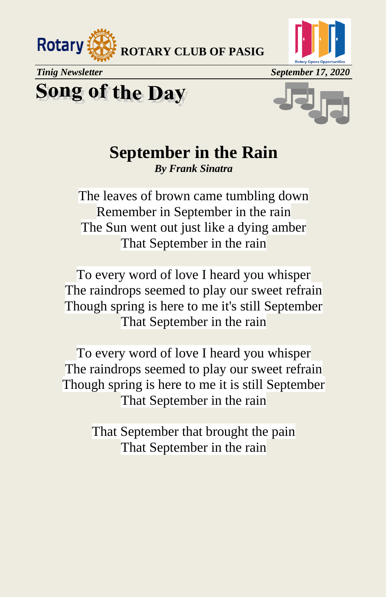



**Song of the Day** 



## **September in the Rain**

*By Frank Sinatra*

The leaves of brown came tumbling down Remember in September in the rain The Sun went out just like a dying amber That September in the rain

To every word of love I heard you whisper The raindrops seemed to play our sweet refrain Though spring is here to me it's still September That September in the rain

To every word of love I heard you whisper The raindrops seemed to play our sweet refrain Though spring is here to me it is still September That September in the rain

> That September that brought the pain That September in the rain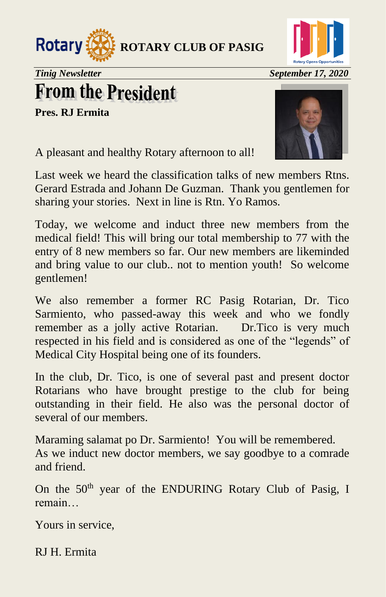



## **From the President**

**Pres. RJ Ermita**



A pleasant and healthy Rotary afternoon to all!

Last week we heard the classification talks of new members Rtns. Gerard Estrada and Johann De Guzman. Thank you gentlemen for sharing your stories. Next in line is Rtn. Yo Ramos.

Today, we welcome and induct three new members from the medical field! This will bring our total membership to 77 with the entry of 8 new members so far. Our new members are likeminded and bring value to our club.. not to mention youth! So welcome gentlemen!

We also remember a former RC Pasig Rotarian, Dr. Tico Sarmiento, who passed-away this week and who we fondly remember as a jolly active Rotarian. Dr.Tico is very much respected in his field and is considered as one of the "legends" of Medical City Hospital being one of its founders.

In the club, Dr. Tico, is one of several past and present doctor Rotarians who have brought prestige to the club for being outstanding in their field. He also was the personal doctor of several of our members.

Maraming salamat po Dr. Sarmiento! You will be remembered. As we induct new doctor members, we say goodbye to a comrade and friend.

On the  $50<sup>th</sup>$  year of the ENDURING Rotary Club of Pasig, I remain…

Yours in service,

RJ H. Ermita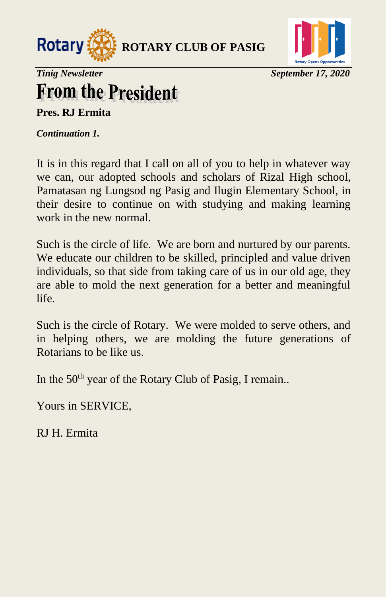



## **From the President**

**Pres. RJ Ermita**

*Continuation 1.* 

It is in this regard that I call on all of you to help in whatever way we can, our adopted schools and scholars of Rizal High school, Pamatasan ng Lungsod ng Pasig and Ilugin Elementary School, in their desire to continue on with studying and making learning work in the new normal.

Such is the circle of life. We are born and nurtured by our parents. We educate our children to be skilled, principled and value driven individuals, so that side from taking care of us in our old age, they are able to mold the next generation for a better and meaningful life.

Such is the circle of Rotary. We were molded to serve others, and in helping others, we are molding the future generations of Rotarians to be like us.

In the  $50<sup>th</sup>$  year of the Rotary Club of Pasig, I remain..

Yours in SERVICE,

RJ H. Ermita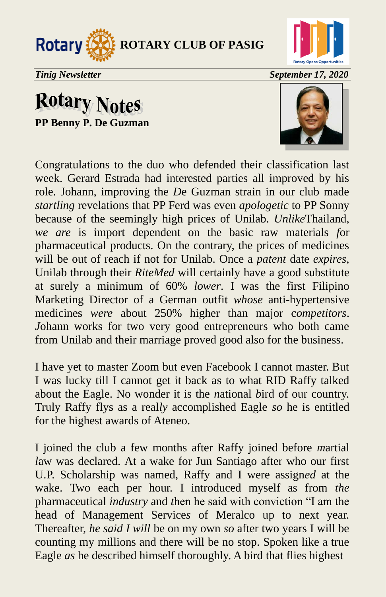



## **Rotary Notes PP Benny P. De Guzman**



Congratulations to the duo who defended their classification last week. Gerard Estrada had interested parties all improved by his role. Johann, improving the *D*e Guzman strain in our club made *startling* revelations that PP Ferd was even *apologetic* to PP Sonny because of the seemingly high price*s* of Unilab. *Unlike*Thailand, *we are* is import dependent on the basic raw materials *f*or pharmaceutical products. On the contrary, the prices of medicines will be out of reach if not for Unilab. Once a *patent* date *expires,* Unilab through their *RiteMed* will certainly have a good substitute at surely a minimum of 60% *lower*. I was the first Filipino Marketing Director of a German outfit *whose* anti-hypertensive medicines *were* about 250% higher than major c*ompetitors*. *J*ohann works for two very good entrepreneurs who both came from Unilab and their marriage proved good also for the business.

I have yet to master Zoom but even Facebook I cannot master. But I was lucky till I cannot get it back as to what RID Raffy talked about the Eagle. No wonder it is the *n*ational *b*ird of our country. Truly Raffy flys as a real*ly* accomplished Eagle *so* he is entitled for the highest awards of Ateneo.

I joined the club a few months after Raffy joined before *m*artial *l*aw was declared. At a wake for Jun Santiago after who our first U.P. Scholarship was named, Raffy and I were assign*ed* at the wake. Two each per hour. I introduced myself as from *the*  pharmaceutical *industry* and *t*hen he said with conviction "I am the head of Management Service*s* of Meralco up to next year. Thereafter, *he said I will* be on my own *so* after two years I will be counting my millions and there will be no stop. Spoken like a true Eagle *as* he described himself thoroughly. A bird that flies highest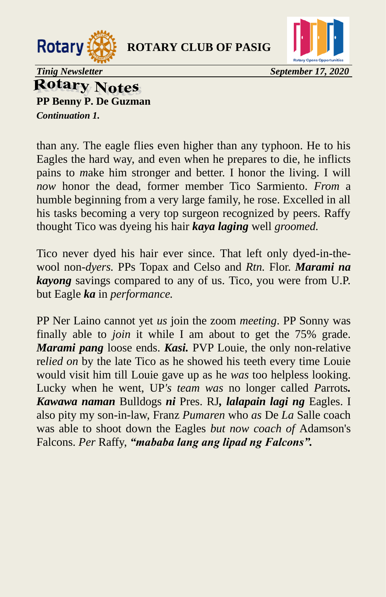



**Tinig Newsletter September 17, 2020**<br>**Rotary Notes PP Benny P. De Guzman**

*Continuation 1.* 

than any. The eagle flies even higher than any typhoon. He to his Eagles the hard way, and even when he prepares to die, he inflicts pains to *m*ake him stronger and better. I honor the living. I will *now* honor the dead, former member Tico Sarmiento. *From* a humble beginning from a very large family, he rose. Excelled in all his tasks becoming a very top surgeon recognized by peers. Raffy thought Tico was dyeing his hair *kaya laging* well *groomed.*

Tico never dyed his hair ever since. That left only dyed-in-thewool non*-dyers.* PPs Topax and Celso and *Rtn.* Flor. *Marami na kayong* savings compared to any of us. Tico, you were from U.P. but Eagle *ka* in *performance.*

PP Ner Laino cannot yet *us* join the zoom *meeting*. PP Sonny was finally able to *join* it while I am about to get the 75% grade. *Marami pang* loose ends. *Kasi.* PVP Louie, the only non-relative re*lied on* by the late Tico as he showed his teeth every time Louie would visit him till Louie gave up as he *was* too helpless looking. Lucky when he went, UP*'s team was* no longer called *P*arrots*. Kawawa naman* Bulldogs *ni* Pres. RJ*, lalapain lagi ng* Eagles. I also pity my son-in-law, Franz *Pumaren* who *as* De *La* Salle coach was able to shoot down the Eagles *but now coach of* Adamson's Falcons. *Per* Raffy, *"mababa lang ang lipad ng Falcons".*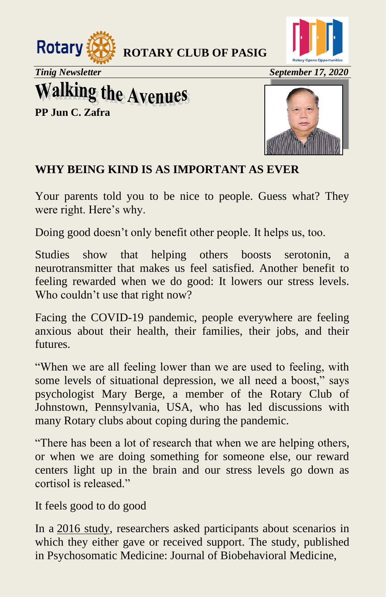



*Tinig Newsletter September 17, 2020*

## **Walking the Avenues**

**PP Jun C. Zafra**



### **WHY BEING KIND IS AS IMPORTANT AS EVER**

Your parents told you to be nice to people. Guess what? They were right. Here's why.

Doing good doesn't only benefit other people. It helps us, too.

Studies show that helping others boosts serotonin, a neurotransmitter that makes us feel satisfied. Another benefit to feeling rewarded when we do good: It lowers our stress levels. Who couldn't use that right now?

Facing the COVID-19 pandemic, people everywhere are feeling anxious about their health, their families, their jobs, and their futures.

"When we are all feeling lower than we are used to feeling, with some levels of situational depression, we all need a boost," says psychologist Mary Berge, a member of the Rotary Club of Johnstown, Pennsylvania, USA, who has led discussions with many Rotary clubs about coping during the pandemic.

"There has been a lot of research that when we are helping others, or when we are doing something for someone else, our reward centers light up in the brain and our stress levels go down as cortisol is released."

It feels good to do good

In a [2016 study,](https://journals.lww.com/psychosomaticmedicine/Citation/2016/05000/The_Neurobiology_of_Giving_Versus_Receiving.7.aspx) researchers asked participants about scenarios in which they either gave or received support. The study, published in Psychosomatic Medicine: Journal of Biobehavioral Medicine,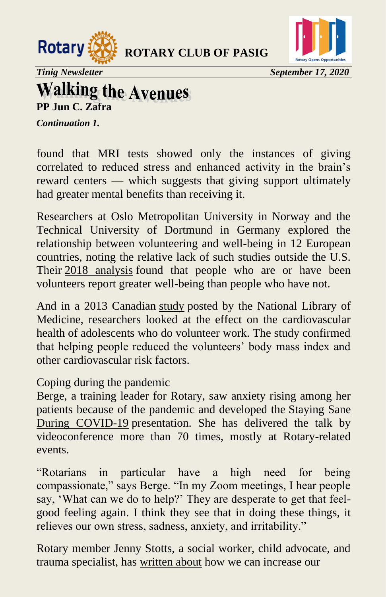



*Tinig Newsletter September 17, 2020*

### **Walking the Avenues PP Jun C. Zafra**

*Continuation 1.*

found that MRI tests showed only the instances of giving correlated to reduced stress and enhanced activity in the brain's reward centers — which suggests that giving support ultimately had greater mental benefits than receiving it.

Researchers at Oslo Metropolitan University in Norway and the Technical University of Dortmund in Germany explored the relationship between volunteering and well-being in 12 European countries, noting the relative lack of such studies outside the U.S. Their [2018 analysis](http://www.mdpi.com/2076-0760/7/5/78/pdf) found that people who are or have been volunteers report greater well-being than people who have not.

And in a 2013 Canadian [study](https://pubmed.ncbi.nlm.nih.gov/23440253/) posted by the National Library of Medicine, researchers looked at the effect on the cardiovascular health of adolescents who do volunteer work. The study confirmed that helping people reduced the volunteers' body mass index and other cardiovascular risk factors.

### Coping during the pandemic

Berge, a training leader for Rotary, saw anxiety rising among her patients because of the pandemic and developed the [Staying Sane](https://youtu.be/fdWucqQgrlg)  [During COVID-19](https://youtu.be/fdWucqQgrlg) presentation. She has delivered the talk by videoconference more than 70 times, mostly at Rotary-related events.

"Rotarians in particular have a high need for being compassionate," says Berge. "In my Zoom meetings, I hear people say, 'What can we do to help?' They are desperate to get that feelgood feeling again. I think they see that in doing these things, it relieves our own stress, sadness, anxiety, and irritability."

Rotary member Jenny Stotts, a social worker, child advocate, and trauma specialist, has [written about](https://blog.rotary.org/2020/05/14/using-science-of-resilience-to-strengthen-rotary-clubs-during-covid-19/) how we can increase our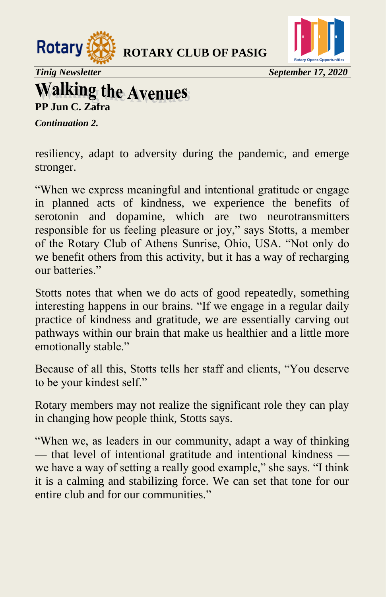



*Tinig Newsletter September 17, 2020*

# **Walking the Avenues**

*Continuation 2.*

resiliency, adapt to adversity during the pandemic, and emerge stronger.

"When we express meaningful and intentional gratitude or engage in planned acts of kindness, we experience the benefits of serotonin and dopamine, which are two neurotransmitters responsible for us feeling pleasure or joy," says Stotts, a member of the Rotary Club of Athens Sunrise, Ohio, USA. "Not only do we benefit others from this activity, but it has a way of recharging our batteries."

Stotts notes that when we do acts of good repeatedly, something interesting happens in our brains. "If we engage in a regular daily practice of kindness and gratitude, we are essentially carving out pathways within our brain that make us healthier and a little more emotionally stable."

Because of all this, Stotts tells her staff and clients, "You deserve to be your kindest self."

Rotary members may not realize the significant role they can play in changing how people think, Stotts says.

"When we, as leaders in our community, adapt a way of thinking — that level of intentional gratitude and intentional kindness we have a way of setting a really good example," she says. "I think it is a calming and stabilizing force. We can set that tone for our entire club and for our communities."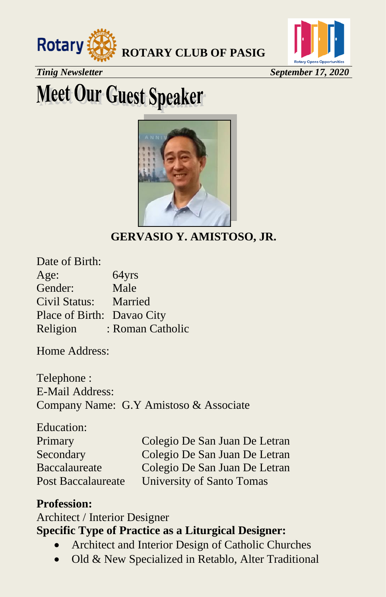



*Tinig Newsletter* September 17, 2020

## **Meet Our Guest Speaker**



### **GERVASIO Y. AMISTOSO, JR.**

| Date of Birth:             |                  |
|----------------------------|------------------|
| Age:                       | 64yrs            |
| Gender:                    | Male             |
| Civil Status:              | Married          |
| Place of Birth: Davao City |                  |
| Religion                   | : Roman Catholic |

Home Address:

Telephone : E-Mail Address: Company Name: G.Y Amistoso & Associate

| Colegio De San Juan De Letran    |
|----------------------------------|
| Colegio De San Juan De Letran    |
| Colegio De San Juan De Letran    |
| <b>University of Santo Tomas</b> |
|                                  |

### **Profession:**

### Architect / Interior Designer **Specific Type of Practice as a Liturgical Designer:**

- Architect and Interior Design of Catholic Churches
- Old & New Specialized in Retablo, Alter Traditional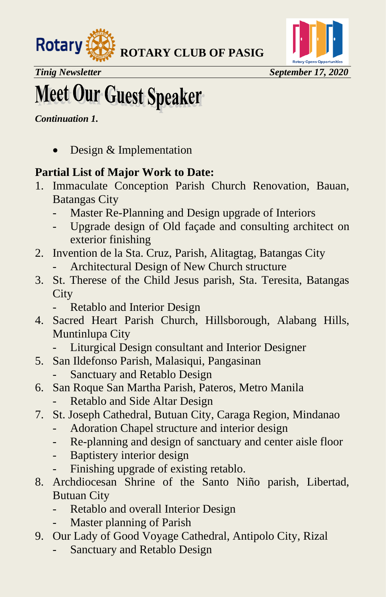



## **Meet Our Guest Speaker**

*Continuation 1.*

Design & Implementation

### **Partial List of Major Work to Date:**

- 1. Immaculate Conception Parish Church Renovation, Bauan, Batangas City
	- Master Re-Planning and Design upgrade of Interiors
	- Upgrade design of Old façade and consulting architect on exterior finishing
- 2. Invention de la Sta. Cruz, Parish, Alitagtag, Batangas City
	- Architectural Design of New Church structure
- 3. St. Therese of the Child Jesus parish, Sta. Teresita, Batangas **City** 
	- Retablo and Interior Design
- 4. Sacred Heart Parish Church, Hillsborough, Alabang Hills, Muntinlupa City
	- Liturgical Design consultant and Interior Designer
- 5. San Ildefonso Parish, Malasiqui, Pangasinan
	- Sanctuary and Retablo Design
- 6. San Roque San Martha Parish, Pateros, Metro Manila
	- Retablo and Side Altar Design
- 7. St. Joseph Cathedral, Butuan City, Caraga Region, Mindanao
	- Adoration Chapel structure and interior design
	- Re-planning and design of sanctuary and center aisle floor
	- Baptistery interior design
	- Finishing upgrade of existing retablo.
- 8. Archdiocesan Shrine of the Santo Niño parish, Libertad, Butuan City
	- Retablo and overall Interior Design
	- Master planning of Parish
- 9. Our Lady of Good Voyage Cathedral, Antipolo City, Rizal
	- Sanctuary and Retablo Design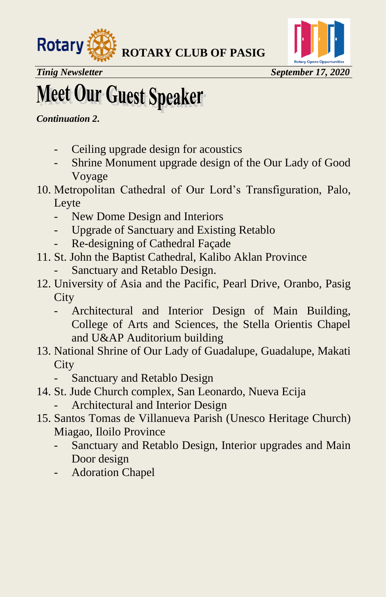



## **Meet Our Guest Speaker**

*Continuation 2.*

- Ceiling upgrade design for acoustics
- Shrine Monument upgrade design of the Our Lady of Good Voyage
- 10. Metropolitan Cathedral of Our Lord's Transfiguration, Palo, Leyte
	- New Dome Design and Interiors
	- Upgrade of Sanctuary and Existing Retablo
	- Re-designing of Cathedral Façade
- 11. St. John the Baptist Cathedral, Kalibo Aklan Province
	- Sanctuary and Retablo Design.
- 12. University of Asia and the Pacific, Pearl Drive, Oranbo, Pasig **City** 
	- Architectural and Interior Design of Main Building, College of Arts and Sciences, the Stella Orientis Chapel and U&AP Auditorium building
- 13. National Shrine of Our Lady of Guadalupe, Guadalupe, Makati **City** 
	- Sanctuary and Retablo Design
- 14. St. Jude Church complex, San Leonardo, Nueva Ecija
	- Architectural and Interior Design
- 15. Santos Tomas de Villanueva Parish (Unesco Heritage Church) Miagao, Iloilo Province
	- Sanctuary and Retablo Design, Interior upgrades and Main Door design
	- Adoration Chapel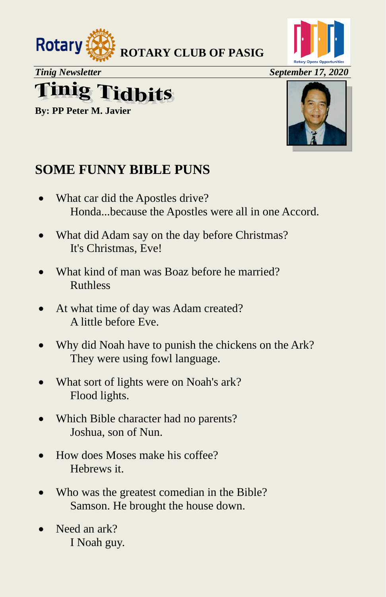



*Tinig Newsletter September 17, 2020*

# **Tinig Tidbits**

**By: PP Peter M. Javier**



## **SOME FUNNY BIBLE PUNS**

- What car did the Apostles drive? Honda...because the Apostles were all in one Accord.
- What did Adam say on the day before Christmas? It's Christmas, Eve!
- What kind of man was Boaz before he married? Ruthless
- At what time of day was Adam created? A little before Eve.
- Why did Noah have to punish the chickens on the Ark? They were using fowl language.
- What sort of lights were on Noah's ark? Flood lights.
- Which Bible character had no parents? Joshua, son of Nun.
- How does Moses make his coffee? Hebrews it.
- Who was the greatest comedian in the Bible? Samson. He brought the house down.
- Need an ark? I Noah guy.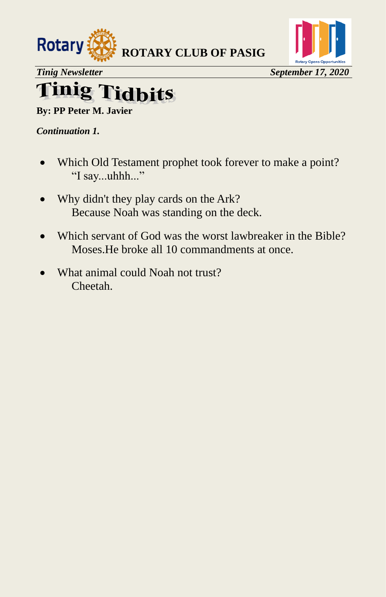

## **Tinig Tidbits**

**By: PP Peter M. Javier**

*Continuation 1.* 

- Which Old Testament prophet took forever to make a point? "I say...uhhh..."
- Why didn't they play cards on the Ark? Because Noah was standing on the deck.
- Which servant of God was the worst lawbreaker in the Bible? Moses.He broke all 10 commandments at once.
- What animal could Noah not trust? Cheetah.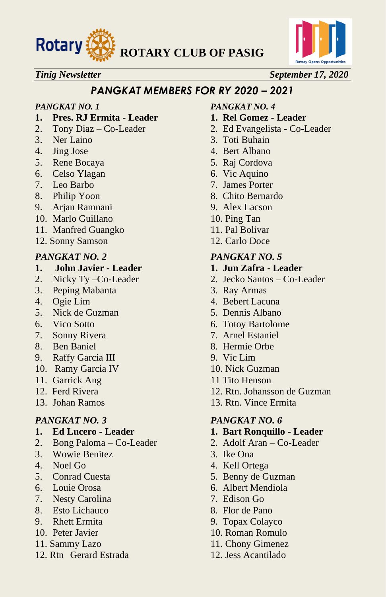



*Tinig Newsletter September 17, 2020*

### *PANGKAT MEMBERS FOR RY 2020 – 2021*

- **1. Pres. RJ Ermita - Leader 1. Rel Gomez - Leader**
- 
- 
- 
- 5. Rene Bocaya 5. Raj Cordova
- 6. Celso Ylagan 6. Vic Aquino
- 7. Leo Barbo 7. James Porter
- 8. Philip Yoon 8. Chito Bernardo
- 9. Arjan Ramnani 9. Alex Lacson
- 10. Marlo Guillano 10. Ping Tan
- 11. Manfred Guangko 11. Pal Bolivar
- 12. Sonny Samson 12. Carlo Doce

### *PANGKAT NO. 2 PANGKAT NO. 5*

### **1. John Javier - Leader 1. Jun Zafra - Leader**

- 
- 3. Peping Mabanta 3. Ray Armas
- 
- 5. Nick de Guzman 5. Dennis Albano
- 
- 7. Sonny Rivera 7. Arnel Estaniel
- 
- 9. Raffy Garcia III 9. Vic Lim
- 10. Ramy Garcia IV 10. Nick Guzman
- 11. Garrick Ang 11 Tito Henson
- 
- 

- 
- 2. Bong Paloma Co-Leader 2. Adolf Aran Co-Leader
- 3. Wowie Benitez 3. Ike Ona
- 
- 
- 
- 7. Nesty Carolina 7. Edison Go
- 8. Esto Lichauco 8. Flor de Pano
- 
- 
- 
- 12. Rtn Gerard Estrada 12. Jess Acantilado

### *PANGKAT NO. 1 PANGKAT NO. 4*

- 
- 2. Tony Diaz Co-Leader 2. Ed Evangelista Co-Leader
- 3. Ner Laino 3. Toti Buhain
- 4. Jing Jose 4. Bert Albano
	-
	-
	-
	-
	-
	-
	-
	-

- 2. Nicky Ty –Co-Leader 2. Jecko Santos Co-Leader
	-
- 4. Ogie Lim 4. Bebert Lacuna
	-
- 6. Vico Sotto 6. Totoy Bartolome
	-
- 8. Ben Baniel 8. Hermie Orbe
	-
	-
	-
- 12. Ferd Rivera 12. Rtn. Johansson de Guzman
- 13. Johan Ramos 13. Rtn. Vince Ermita

### *PANGKAT NO. 3 PANGKAT NO. 6*

- **1. Ed Lucero - Leader 1. Bart Ronquillo - Leader**
	-
	-
- 4. Noel Go 4. Kell Ortega
- 5. Conrad Cuesta 5. Benny de Guzman
- 6. Louie Orosa 6. Albert Mendiola
	-
	-
- 9. Rhett Ermita 9. Topax Colayco
- 10. Peter Javier 10. Roman Romulo
- 11. Sammy Lazo 11. Chony Gimenez
	-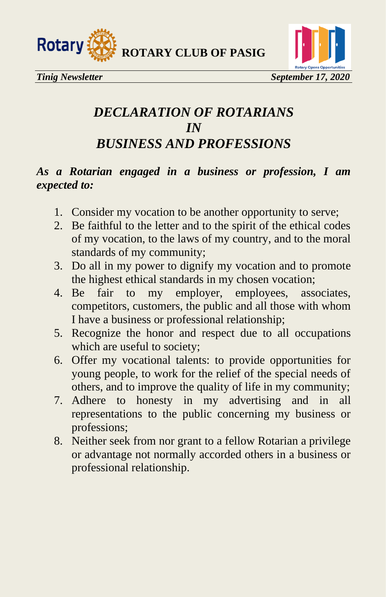



### *DECLARATION OF ROTARIANS IN BUSINESS AND PROFESSIONS*

### *As a Rotarian engaged in a business or profession, I am expected to:*

- 1. Consider my vocation to be another opportunity to serve;
- 2. Be faithful to the letter and to the spirit of the ethical codes of my vocation, to the laws of my country, and to the moral standards of my community;
- 3. Do all in my power to dignify my vocation and to promote the highest ethical standards in my chosen vocation;
- 4. Be fair to my employer, employees, associates, competitors, customers, the public and all those with whom I have a business or professional relationship;
- 5. Recognize the honor and respect due to all occupations which are useful to society;
- 6. Offer my vocational talents: to provide opportunities for young people, to work for the relief of the special needs of others, and to improve the quality of life in my community;
- 7. Adhere to honesty in my advertising and in all representations to the public concerning my business or professions;
- 8. Neither seek from nor grant to a fellow Rotarian a privilege or advantage not normally accorded others in a business or professional relationship.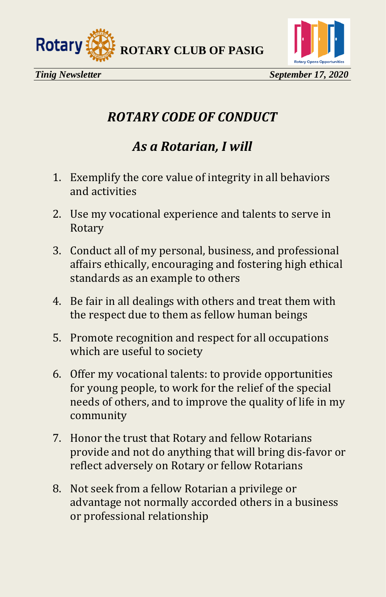



## *ROTARY CODE OF CONDUCT*

## *As a Rotarian, I will*

- 1. Exemplify the core value of integrity in all behaviors and activities
- 2. Use my vocational experience and talents to serve in Rotary
- 3. Conduct all of my personal, business, and professional affairs ethically, encouraging and fostering high ethical standards as an example to others
- 4. Be fair in all dealings with others and treat them with the respect due to them as fellow human beings
- 5. Promote recognition and respect for all occupations which are useful to society
- 6. Offer my vocational talents: to provide opportunities for young people, to work for the relief of the special needs of others, and to improve the quality of life in my community
- 7. Honor the trust that Rotary and fellow Rotarians provide and not do anything that will bring dis-favor or reflect adversely on Rotary or fellow Rotarians
- 8. Not seek from a fellow Rotarian a privilege or advantage not normally accorded others in a business or professional relationship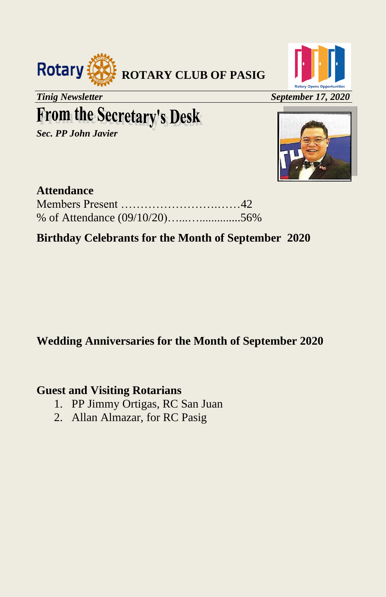



*Tinig Newsletter September 17, 2020*

# **From the Secretary's Desk**

*Sec. PP John Javier*



### **Attendance**

| % of Attendance (09/10/20)56% |  |
|-------------------------------|--|

### **Birthday Celebrants for the Month of September 2020**

### **Wedding Anniversaries for the Month of September 2020**

### **Guest and Visiting Rotarians**

- 1. PP Jimmy Ortigas, RC San Juan
- 2. Allan Almazar, for RC Pasig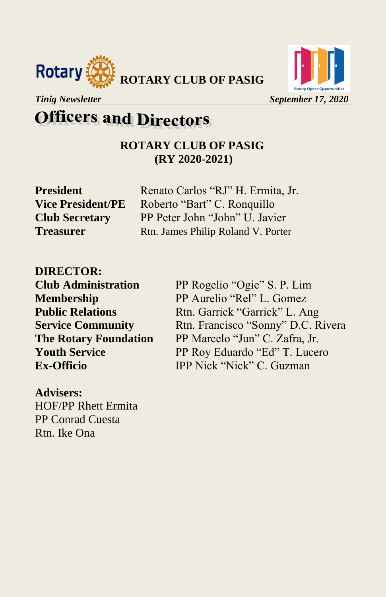



## **Officers and Directors**

**ROTARY CLUB OF PASIG (RY 2020-2021)**

**President** Renato Carlos "RJ" H. Ermita, Jr. **Vice President/PE** Roberto "Bart" C. Ronquillo **Club Secretary** PP Peter John "John" U. Javier **Treasurer** Rtn. James Philip Roland V. Porter

### **DIRECTOR:**

**Club Administration** PP Rogelio "Ogie" S. P. Lim **Membership** PP Aurelio "Rel" L. Gomez **Public Relations** Rtn. Garrick "Garrick" L. Ang **Service Community** Rtn. Francisco "Sonny" D.C. Rivera **The Rotary Foundation** PP Marcelo "Jun" C. Zafra, Jr. **Youth Service** PP Roy Eduardo "Ed" T. Lucero **Ex-Officio IPP Nick "Nick" C. Guzman** 

**Advisers:** HOF/PP Rhett Ermita PP Conrad Cuesta Rtn. Ike Ona